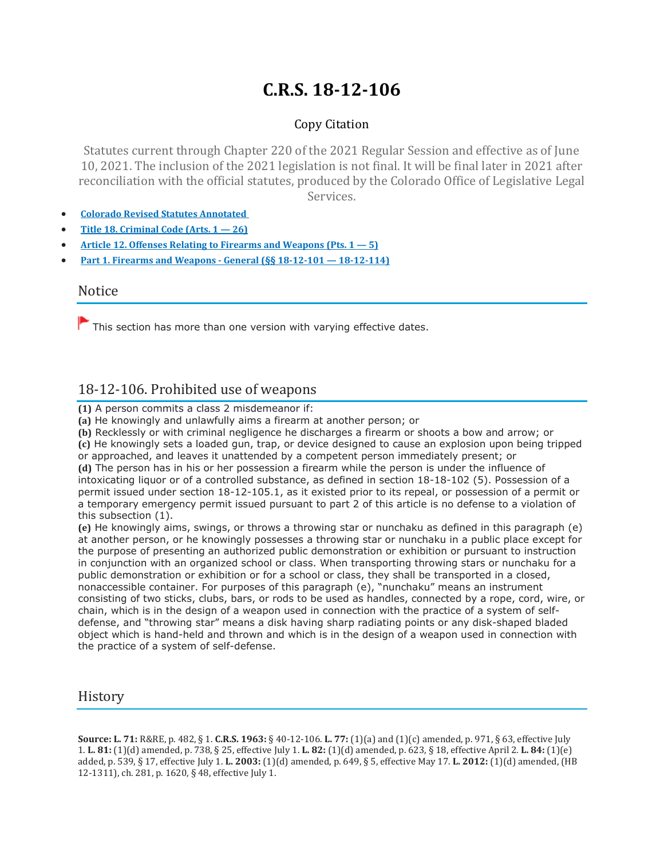# **C.R.S. 18-12-106**

## Copy Citation

Statutes current through Chapter 220 of the 2021 Regular Session and effective as of June 10, 2021. The inclusion of the 2021 legislation is not final. It will be final later in 2021 after reconciliation with the official statutes, produced by the Colorado Office of Legislative Legal Services.

- **Colorado Revised Statutes [Annotated](https://advance.lexis.com/documentpage/?pdmfid=1000516&crid=6bb33657-9c95-4046-83bd-8348930eedeb&pdistocdocslideraccess=true&config=014FJAAyNGJkY2Y4Zi1mNjgyLTRkN2YtYmE4OS03NTYzNzYzOTg0OGEKAFBvZENhdGFsb2d592qv2Kywlf8caKqYROP5&pddocfullpath=/shared/document/statutes-legislation/urn:contentItem:61P5-WSW1-DYDC-J3CD-00008-00&pdcomponentid=234177&pdtocnodeidentifier=AASAAWAABAAL&ecomp=sssdkkk&prid=6bbdc9ce-a82d-48ba-9f88-8e17de35d69f)**
- **Title 18. [Criminal](https://advance.lexis.com/documentpage/?pdmfid=1000516&crid=6bb33657-9c95-4046-83bd-8348930eedeb&pdistocdocslideraccess=true&config=014FJAAyNGJkY2Y4Zi1mNjgyLTRkN2YtYmE4OS03NTYzNzYzOTg0OGEKAFBvZENhdGFsb2d592qv2Kywlf8caKqYROP5&pddocfullpath=/shared/document/statutes-legislation/urn:contentItem:61P5-WSW1-DYDC-J3CD-00008-00&pdcomponentid=234177&pdtocnodeidentifier=AASAAWAABAAL&ecomp=sssdkkk&prid=6bbdc9ce-a82d-48ba-9f88-8e17de35d69f) Code (Arts. 1 — 26)**
- **Article 12. Offenses Relating to Firearms and [Weapons](https://advance.lexis.com/documentpage/?pdmfid=1000516&crid=6bb33657-9c95-4046-83bd-8348930eedeb&pdistocdocslideraccess=true&config=014FJAAyNGJkY2Y4Zi1mNjgyLTRkN2YtYmE4OS03NTYzNzYzOTg0OGEKAFBvZENhdGFsb2d592qv2Kywlf8caKqYROP5&pddocfullpath=/shared/document/statutes-legislation/urn:contentItem:61P5-WSW1-DYDC-J3CD-00008-00&pdcomponentid=234177&pdtocnodeidentifier=AASAAWAABAAL&ecomp=sssdkkk&prid=6bbdc9ce-a82d-48ba-9f88-8e17de35d69f) (Pts. 1 — 5)**
- **Part 1. Firearms and Weapons - General (§§ 18-12-101 — [18-12-114\)](https://advance.lexis.com/documentpage/?pdmfid=1000516&crid=6bb33657-9c95-4046-83bd-8348930eedeb&pdistocdocslideraccess=true&config=014FJAAyNGJkY2Y4Zi1mNjgyLTRkN2YtYmE4OS03NTYzNzYzOTg0OGEKAFBvZENhdGFsb2d592qv2Kywlf8caKqYROP5&pddocfullpath=/shared/document/statutes-legislation/urn:contentItem:61P5-WSW1-DYDC-J3CD-00008-00&pdcomponentid=234177&pdtocnodeidentifier=AASAAWAABAAL&ecomp=sssdkkk&prid=6bbdc9ce-a82d-48ba-9f88-8e17de35d69f)**

#### Notice

 $\blacktriangleright$  This section has more than one version with varying effective dates.

# 18-12-106. Prohibited use of weapons

**(1)** A person commits a class 2 misdemeanor if:

**(a)** He knowingly and unlawfully aims a firearm at another person; or

**(b)** Recklessly or with criminal negligence he discharges a firearm or shoots a bow and arrow; or

**(c)** He knowingly sets a loaded gun, trap, or device designed to cause an explosion upon being tripped or approached, and leaves it unattended by a competent person immediately present; or

**(d)** The person has in his or her possession a firearm while the person is under the influence of intoxicating liquor or of a controlled substance, as defined in section 18-18-102 (5). Possession of a permit issued under section 18-12-105.1, as it existed prior to its repeal, or possession of a permit or a temporary emergency permit issued pursuant to part 2 of this article is no defense to a violation of this subsection (1).

**(e)** He knowingly aims, swings, or throws a throwing star or nunchaku as defined in this paragraph (e) at another person, or he knowingly possesses a throwing star or nunchaku in a public place except for the purpose of presenting an authorized public demonstration or exhibition or pursuant to instruction in conjunction with an organized school or class. When transporting throwing stars or nunchaku for a public demonstration or exhibition or for a school or class, they shall be transported in a closed, nonaccessible container. For purposes of this paragraph (e), "nunchaku" means an instrument consisting of two sticks, clubs, bars, or rods to be used as handles, connected by a rope, cord, wire, or chain, which is in the design of a weapon used in connection with the practice of a system of selfdefense, and "throwing star" means a disk having sharp radiating points or any disk-shaped bladed object which is hand-held and thrown and which is in the design of a weapon used in connection with the practice of a system of self-defense.

# **History**

**Source: L. 71:** R&RE, p. 482, § 1. **C.R.S. 1963:** § 40-12-106. **L. 77:** (1)(a) and (1)(c) amended, p. 971, § 63, effective July 1. **L. 81:** (1)(d) amended, p. 738, § 25, effective July 1. **L. 82:** (1)(d) amended, p. 623, § 18, effective April 2. **L. 84:** (1)(e) added, p. 539, § 17, effective July 1. **L. 2003:** (1)(d) amended, p. 649, § 5, effective May 17. **L. 2012:** (1)(d) amended, (HB 12-1311), ch. 281, p. 1620, § 48, effective July 1.